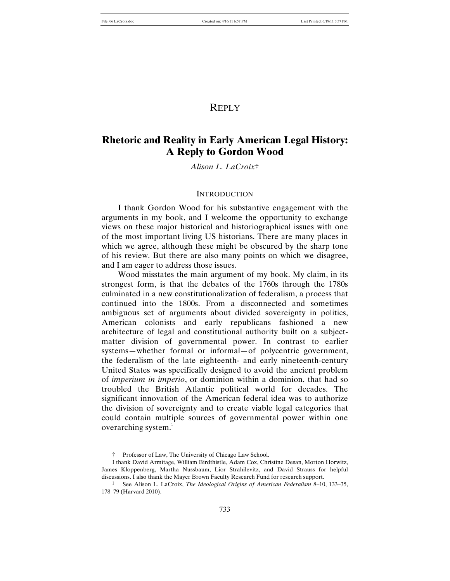# **REPLY**

# **Rhetoric and Reality in Early American Legal History: A Reply to Gordon Wood**

## *Alison L. LaCroix*†

# INTRODUCTION

I thank Gordon Wood for his substantive engagement with the arguments in my book, and I welcome the opportunity to exchange views on these major historical and historiographical issues with one of the most important living US historians. There are many places in which we agree, although these might be obscured by the sharp tone of his review. But there are also many points on which we disagree, and I am eager to address those issues.

Wood misstates the main argument of my book. My claim, in its strongest form, is that the debates of the 1760s through the 1780s culminated in a new constitutionalization of federalism, a process that continued into the 1800s. From a disconnected and sometimes ambiguous set of arguments about divided sovereignty in politics, American colonists and early republicans fashioned a new architecture of legal and constitutional authority built on a subjectmatter division of governmental power. In contrast to earlier systems—whether formal or informal—of polycentric government, the federalism of the late eighteenth- and early nineteenth-century United States was specifically designed to avoid the ancient problem of *imperium in imperio*, or dominion within a dominion, that had so troubled the British Atlantic political world for decades. The significant innovation of the American federal idea was to authorize the division of sovereignty and to create viable legal categories that could contain multiple sources of governmental power within one overarching system.<sup>1</sup>

<sup>†</sup> Professor of Law, The University of Chicago Law School.

I thank David Armitage, William Birdthistle, Adam Cox, Christine Desan, Morton Horwitz, James Kloppenberg, Martha Nussbaum, Lior Strahilevitz, and David Strauss for helpful discussions. I also thank the Mayer Brown Faculty Research Fund for research support.

<sup>1</sup> See Alison L. LaCroix, *The Ideological Origins of American Federalism* 8–10, 133–35, 178–79 (Harvard 2010).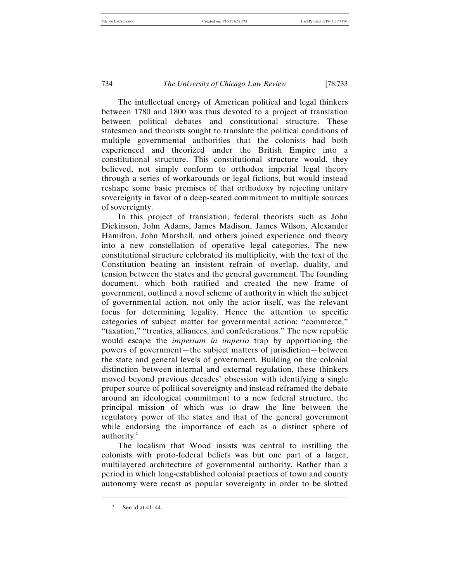The intellectual energy of American political and legal thinkers between 1780 and 1800 was thus devoted to a project of translation between political debates and constitutional structure. These statesmen and theorists sought to translate the political conditions of multiple governmental authorities that the colonists had both experienced and theorized under the British Empire into a constitutional structure. This constitutional structure would, they believed, not simply conform to orthodox imperial legal theory through a series of workarounds or legal fictions, but would instead reshape some basic premises of that orthodoxy by rejecting unitary sovereignty in favor of a deep-seated commitment to multiple sources of sovereignty.

In this project of translation, federal theorists such as John Dickinson, John Adams, James Madison, James Wilson, Alexander Hamilton, John Marshall, and others joined experience and theory into a new constellation of operative legal categories. The new constitutional structure celebrated its multiplicity, with the text of the Constitution beating an insistent refrain of overlap, duality, and tension between the states and the general government. The founding document, which both ratified and created the new frame of government, outlined a novel scheme of authority in which the subject of governmental action, not only the actor itself, was the relevant focus for determining legality. Hence the attention to specific categories of subject matter for governmental action: "commerce," "taxation," "treaties, alliances, and confederations." The new republic would escape the *imperium in imperio* trap by apportioning the powers of government—the subject matters of jurisdiction—between the state and general levels of government. Building on the colonial distinction between internal and external regulation, these thinkers moved beyond previous decades' obsession with identifying a single proper source of political sovereignty and instead reframed the debate around an ideological commitment to a new federal structure, the principal mission of which was to draw the line between the regulatory power of the states and that of the general government while endorsing the importance of each as a distinct sphere of authority.<sup>2</sup>

The localism that Wood insists was central to instilling the colonists with proto-federal beliefs was but one part of a larger, multilayered architecture of governmental authority. Rather than a period in which long-established colonial practices of town and county autonomy were recast as popular sovereignty in order to be slotted

<sup>2</sup> See id at 41–44.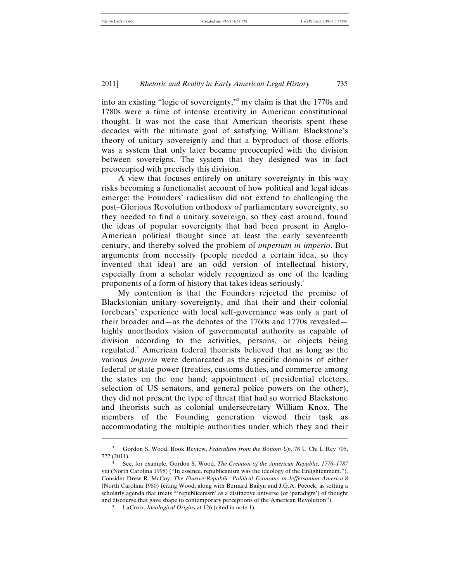into an existing "logic of sovereignty,"3 my claim is that the 1770s and 1780s were a time of intense creativity in American constitutional thought. It was not the case that American theorists spent these decades with the ultimate goal of satisfying William Blackstone's theory of unitary sovereignty and that a byproduct of those efforts was a system that only later became preoccupied with the division between sovereigns. The system that they designed was in fact preoccupied with precisely this division.

A view that focuses entirely on unitary sovereignty in this way risks becoming a functionalist account of how political and legal ideas emerge: the Founders' radicalism did not extend to challenging the post–Glorious Revolution orthodoxy of parliamentary sovereignty, so they needed to find a unitary sovereign, so they cast around, found the ideas of popular sovereignty that had been present in Anglo-American political thought since at least the early seventeenth century, and thereby solved the problem of *imperium in imperio*. But arguments from necessity (people needed a certain idea, so they invented that idea) are an odd version of intellectual history, especially from a scholar widely recognized as one of the leading proponents of a form of history that takes ideas seriously.4

My contention is that the Founders rejected the premise of Blackstonian unitary sovereignty, and that their and their colonial forebears' experience with local self-governance was only a part of their broader and—as the debates of the 1760s and 1770s revealed highly unorthodox vision of governmental authority as capable of division according to the activities, persons, or objects being regulated.<sup>5</sup> American federal theorists believed that as long as the various *imperia* were demarcated as the specific domains of either federal or state power (treaties, customs duties, and commerce among the states on the one hand; appointment of presidential electors, selection of US senators, and general police powers on the other), they did not present the type of threat that had so worried Blackstone and theorists such as colonial undersecretary William Knox. The members of the Founding generation viewed their task as accommodating the multiple authorities under which they and their

<sup>3</sup> Gordon S. Wood, Book Review, *Federalism from the Bottom Up*, 78 U Chi L Rev 705, 722 (2011).

<sup>4</sup> See, for example, Gordon S. Wood, *The Creation of the American Republic, 1776–1787* viii (North Carolina 1998) ("In essence, republicanism was the ideology of the Enlightenment."). Consider Drew R. McCoy, *The Elusive Republic: Political Economy in Jeffersonian America* 8 (North Carolina 1980) (citing Wood, along with Bernard Bailyn and J.G.A. Pocock, as setting a scholarly agenda that treats "'republicanism' as a distinctive universe (or 'paradigm') of thought and discourse that gave shape to contemporary perceptions of the American Revolution").

<sup>5</sup> LaCroix, *Ideological Origins* at 126 (cited in note 1).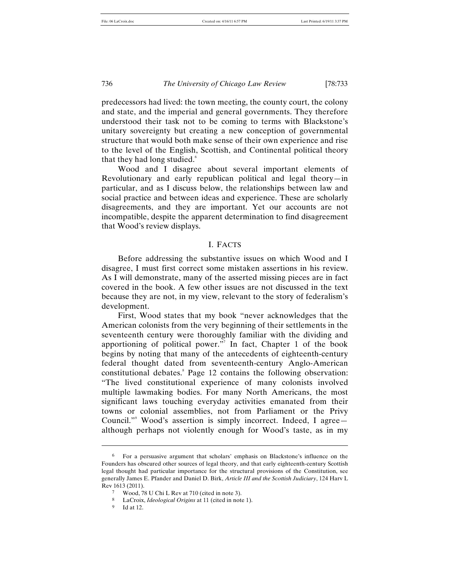predecessors had lived: the town meeting, the county court, the colony and state, and the imperial and general governments. They therefore understood their task not to be coming to terms with Blackstone's unitary sovereignty but creating a new conception of governmental structure that would both make sense of their own experience and rise to the level of the English, Scottish, and Continental political theory that they had long studied.<sup>6</sup>

Wood and I disagree about several important elements of Revolutionary and early republican political and legal theory—in particular, and as I discuss below, the relationships between law and social practice and between ideas and experience. These are scholarly disagreements, and they are important. Yet our accounts are not incompatible, despite the apparent determination to find disagreement that Wood's review displays.

#### I. FACTS

Before addressing the substantive issues on which Wood and I disagree, I must first correct some mistaken assertions in his review. As I will demonstrate, many of the asserted missing pieces are in fact covered in the book. A few other issues are not discussed in the text because they are not, in my view, relevant to the story of federalism's development.

First, Wood states that my book "never acknowledges that the American colonists from the very beginning of their settlements in the seventeenth century were thoroughly familiar with the dividing and apportioning of political power."<sup>7</sup> In fact, Chapter 1 of the book begins by noting that many of the antecedents of eighteenth-century federal thought dated from seventeenth-century Anglo-American constitutional debates. Page 12 contains the following observation: "The lived constitutional experience of many colonists involved multiple lawmaking bodies. For many North Americans, the most significant laws touching everyday activities emanated from their towns or colonial assemblies, not from Parliament or the Privy Council." Wood's assertion is simply incorrect. Indeed, I agreealthough perhaps not violently enough for Wood's taste, as in my

<sup>6</sup> For a persuasive argument that scholars' emphasis on Blackstone's influence on the Founders has obscured other sources of legal theory, and that early eighteenth-century Scottish legal thought had particular importance for the structural provisions of the Constitution, see generally James E. Pfander and Daniel D. Birk, *Article III and the Scottish Judiciary*, 124 Harv L Rev 1613 (2011).

<sup>7</sup> Wood, 78 U Chi L Rev at 710 (cited in note 3).

<sup>8</sup> LaCroix, *Ideological Origins* at 11 (cited in note 1).

Id at 12.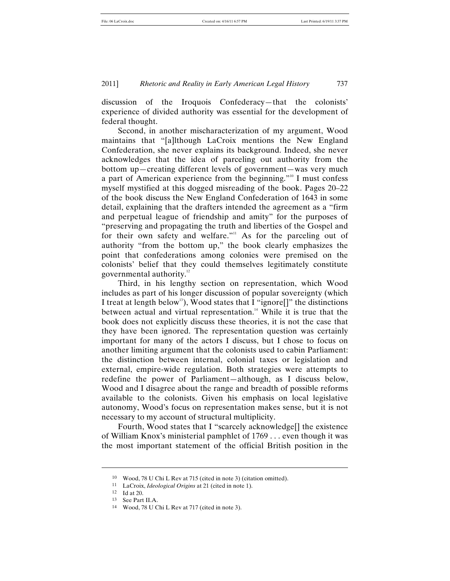discussion of the Iroquois Confederacy—that the colonists' experience of divided authority was essential for the development of federal thought.

Second, in another mischaracterization of my argument, Wood maintains that "[a]lthough LaCroix mentions the New England Confederation, she never explains its background. Indeed, she never acknowledges that the idea of parceling out authority from the bottom up—creating different levels of government—was very much a part of American experience from the beginning."<sup>10</sup> I must confess myself mystified at this dogged misreading of the book. Pages 20–22 of the book discuss the New England Confederation of 1643 in some detail, explaining that the drafters intended the agreement as a "firm and perpetual league of friendship and amity" for the purposes of "preserving and propagating the truth and liberties of the Gospel and for their own safety and welfare."<sup>11</sup> As for the parceling out of authority "from the bottom up," the book clearly emphasizes the point that confederations among colonies were premised on the colonists' belief that they could themselves legitimately constitute governmental authority. $12$ 

Third, in his lengthy section on representation, which Wood includes as part of his longer discussion of popular sovereignty (which I treat at length below<sup>13</sup>), Wood states that I "ignore<sup>[]"</sup> the distinctions between actual and virtual representation.<sup>14</sup> While it is true that the book does not explicitly discuss these theories, it is not the case that they have been ignored. The representation question was certainly important for many of the actors I discuss, but I chose to focus on another limiting argument that the colonists used to cabin Parliament: the distinction between internal, colonial taxes or legislation and external, empire-wide regulation. Both strategies were attempts to redefine the power of Parliament—although, as I discuss below, Wood and I disagree about the range and breadth of possible reforms available to the colonists. Given his emphasis on local legislative autonomy, Wood's focus on representation makes sense, but it is not necessary to my account of structural multiplicity.

Fourth, Wood states that I "scarcely acknowledge[] the existence of William Knox's ministerial pamphlet of 1769 . . . even though it was the most important statement of the official British position in the

<sup>10</sup> Wood, 78 U Chi L Rev at 715 (cited in note 3) (citation omitted).

<sup>11</sup> LaCroix, *Ideological Origins* at 21 (cited in note 1).

<sup>12</sup> Id at 20.

<sup>13</sup> See Part II.A.

<sup>14</sup> Wood, 78 U Chi L Rev at 717 (cited in note 3).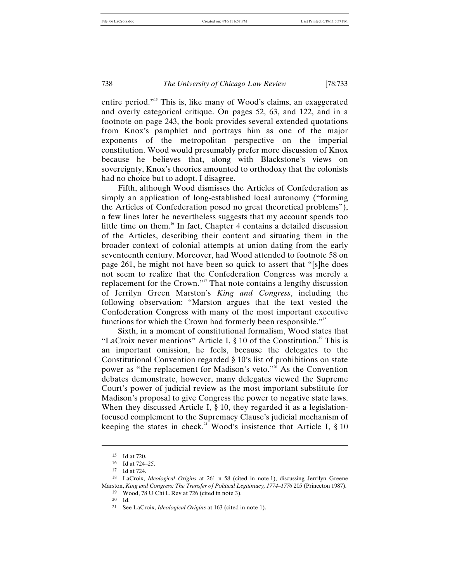entire period."15 This is, like many of Wood's claims, an exaggerated and overly categorical critique. On pages 52, 63, and 122, and in a footnote on page 243, the book provides several extended quotations from Knox's pamphlet and portrays him as one of the major exponents of the metropolitan perspective on the imperial constitution. Wood would presumably prefer more discussion of Knox because he believes that, along with Blackstone's views on sovereignty, Knox's theories amounted to orthodoxy that the colonists had no choice but to adopt. I disagree.

Fifth, although Wood dismisses the Articles of Confederation as simply an application of long-established local autonomy ("forming the Articles of Confederation posed no great theoretical problems"), a few lines later he nevertheless suggests that my account spends too little time on them.<sup>16</sup> In fact, Chapter 4 contains a detailed discussion of the Articles, describing their content and situating them in the broader context of colonial attempts at union dating from the early seventeenth century. Moreover, had Wood attended to footnote 58 on page 261, he might not have been so quick to assert that "[s]he does not seem to realize that the Confederation Congress was merely a replacement for the Crown."<sup>17</sup> That note contains a lengthy discussion of Jerrilyn Green Marston's *King and Congress*, including the following observation: "Marston argues that the text vested the Confederation Congress with many of the most important executive functions for which the Crown had formerly been responsible."<sup>18</sup>

Sixth, in a moment of constitutional formalism, Wood states that "LaCroix never mentions" Article I,  $\S 10$  of the Constitution.<sup>19</sup> This is an important omission, he feels, because the delegates to the Constitutional Convention regarded § 10's list of prohibitions on state power as "the replacement for Madison's veto."20 As the Convention debates demonstrate, however, many delegates viewed the Supreme Court's power of judicial review as the most important substitute for Madison's proposal to give Congress the power to negative state laws. When they discussed Article I, § 10, they regarded it as a legislationfocused complement to the Supremacy Clause's judicial mechanism of keeping the states in check.<sup>21</sup> Wood's insistence that Article I,  $\S 10$ 

<sup>15</sup> Id at 720.

<sup>16</sup> Id at 724–25.

<sup>17</sup> Id at 724.

<sup>18</sup> LaCroix, *Ideological Origins* at 261 n 58 (cited in note 1), discussing Jerrilyn Greene Marston, *King and Congress: The Transfer of Political Legitimacy, 1774–1776* 205 (Princeton 1987).

<sup>19</sup> Wood, 78 U Chi L Rev at 726 (cited in note 3).

<sup>20</sup> Id.

<sup>21</sup> See LaCroix, *Ideological Origins* at 163 (cited in note 1).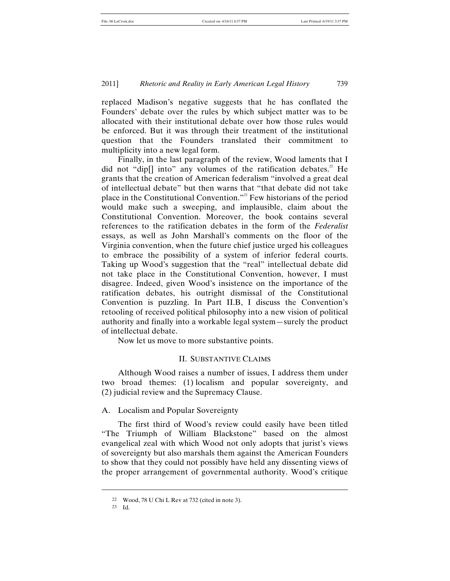replaced Madison's negative suggests that he has conflated the Founders' debate over the rules by which subject matter was to be allocated with their institutional debate over how those rules would be enforced. But it was through their treatment of the institutional question that the Founders translated their commitment to multiplicity into a new legal form.

Finally, in the last paragraph of the review, Wood laments that I did not "dip[] into" any volumes of the ratification debates. $2^2$  He grants that the creation of American federalism "involved a great deal of intellectual debate" but then warns that "that debate did not take place in the Constitutional Convention."23 Few historians of the period would make such a sweeping, and implausible, claim about the Constitutional Convention. Moreover, the book contains several references to the ratification debates in the form of the *Federalist* essays, as well as John Marshall's comments on the floor of the Virginia convention, when the future chief justice urged his colleagues to embrace the possibility of a system of inferior federal courts. Taking up Wood's suggestion that the "real" intellectual debate did not take place in the Constitutional Convention, however, I must disagree. Indeed, given Wood's insistence on the importance of the ratification debates, his outright dismissal of the Constitutional Convention is puzzling. In Part II.B, I discuss the Convention's retooling of received political philosophy into a new vision of political authority and finally into a workable legal system—surely the product of intellectual debate.

Now let us move to more substantive points.

#### II. SUBSTANTIVE CLAIMS

Although Wood raises a number of issues, I address them under two broad themes: (1) localism and popular sovereignty, and (2) judicial review and the Supremacy Clause.

## A. Localism and Popular Sovereignty

The first third of Wood's review could easily have been titled "The Triumph of William Blackstone" based on the almost evangelical zeal with which Wood not only adopts that jurist's views of sovereignty but also marshals them against the American Founders to show that they could not possibly have held any dissenting views of the proper arrangement of governmental authority. Wood's critique

<sup>22</sup> Wood, 78 U Chi L Rev at 732 (cited in note 3).

<sup>23</sup> Id.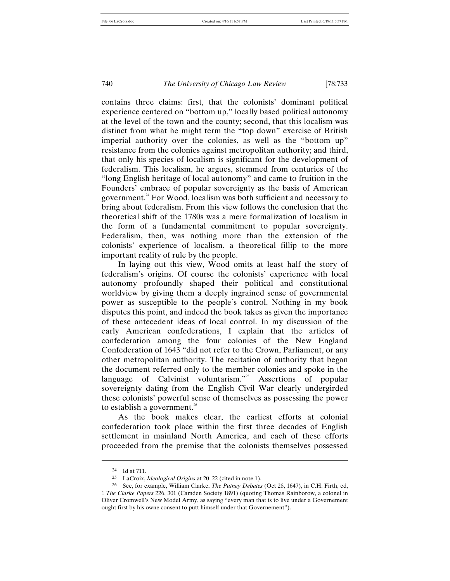contains three claims: first, that the colonists' dominant political experience centered on "bottom up," locally based political autonomy at the level of the town and the county; second, that this localism was distinct from what he might term the "top down" exercise of British imperial authority over the colonies, as well as the "bottom up" resistance from the colonies against metropolitan authority; and third, that only his species of localism is significant for the development of federalism. This localism, he argues, stemmed from centuries of the "long English heritage of local autonomy" and came to fruition in the Founders' embrace of popular sovereignty as the basis of American government.24 For Wood, localism was both sufficient and necessary to bring about federalism. From this view follows the conclusion that the theoretical shift of the 1780s was a mere formalization of localism in the form of a fundamental commitment to popular sovereignty. Federalism, then, was nothing more than the extension of the colonists' experience of localism, a theoretical fillip to the more important reality of rule by the people.

In laying out this view, Wood omits at least half the story of federalism's origins. Of course the colonists' experience with local autonomy profoundly shaped their political and constitutional worldview by giving them a deeply ingrained sense of governmental power as susceptible to the people's control. Nothing in my book disputes this point, and indeed the book takes as given the importance of these antecedent ideas of local control. In my discussion of the early American confederations, I explain that the articles of confederation among the four colonies of the New England Confederation of 1643 "did not refer to the Crown, Parliament, or any other metropolitan authority. The recitation of authority that began the document referred only to the member colonies and spoke in the language of Calvinist voluntarism.<sup> $25$ </sup> Assertions of popular sovereignty dating from the English Civil War clearly undergirded these colonists' powerful sense of themselves as possessing the power to establish a government. $26$ 

As the book makes clear, the earliest efforts at colonial confederation took place within the first three decades of English settlement in mainland North America, and each of these efforts proceeded from the premise that the colonists themselves possessed

<sup>24</sup> Id at 711.

<sup>25</sup> LaCroix, *Ideological Origins* at 20–22 (cited in note 1).

<sup>26</sup> See, for example, William Clarke, *The Putney Debates* (Oct 28, 1647), in C.H. Firth, ed, 1 *The Clarke Papers* 226, 301 (Camden Society 1891) (quoting Thomas Rainborow, a colonel in Oliver Cromwell's New Model Army, as saying "every man that is to live under a Governement ought first by his owne consent to putt himself under that Governement").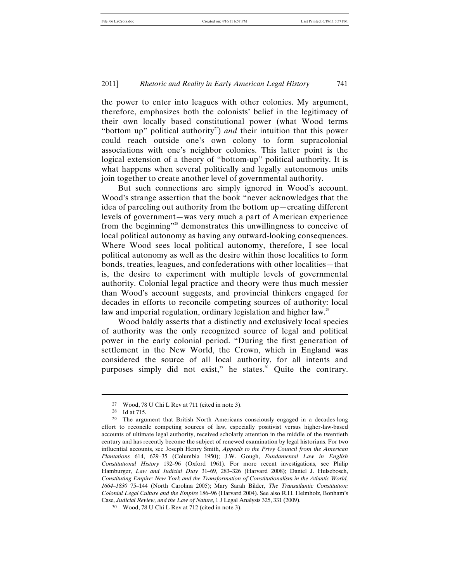the power to enter into leagues with other colonies. My argument, therefore, emphasizes both the colonists' belief in the legitimacy of their own locally based constitutional power (what Wood terms "bottom up" political authority<sup>27</sup>) *and* their intuition that this power could reach outside one's own colony to form supracolonial associations with one's neighbor colonies. This latter point is the logical extension of a theory of "bottom-up" political authority. It is what happens when several politically and legally autonomous units join together to create another level of governmental authority.

But such connections are simply ignored in Wood's account. Wood's strange assertion that the book "never acknowledges that the idea of parceling out authority from the bottom up—creating different levels of government—was very much a part of American experience from the beginning"<sup>28</sup> demonstrates this unwillingness to conceive of local political autonomy as having any outward-looking consequences. Where Wood sees local political autonomy, therefore, I see local political autonomy as well as the desire within those localities to form bonds, treaties, leagues, and confederations with other localities—that is, the desire to experiment with multiple levels of governmental authority. Colonial legal practice and theory were thus much messier than Wood's account suggests, and provincial thinkers engaged for decades in efforts to reconcile competing sources of authority: local law and imperial regulation, ordinary legislation and higher law.<sup>29</sup>

Wood baldly asserts that a distinctly and exclusively local species of authority was the only recognized source of legal and political power in the early colonial period. "During the first generation of settlement in the New World, the Crown, which in England was considered the source of all local authority, for all intents and purposes simply did not exist," he states.<sup>30</sup> Quite the contrary.

<sup>27</sup> Wood, 78 U Chi L Rev at 711 (cited in note 3).

<sup>28</sup> Id at 715.

<sup>29</sup> The argument that British North Americans consciously engaged in a decades-long effort to reconcile competing sources of law, especially positivist versus higher-law-based accounts of ultimate legal authority, received scholarly attention in the middle of the twentieth century and has recently become the subject of renewed examination by legal historians. For two influential accounts, see Joseph Henry Smith, *Appeals to the Privy Council from the American Plantations* 614, 629–35 (Columbia 1950); J.W. Gough, *Fundamental Law in English Constitutional History* 192–96 (Oxford 1961). For more recent investigations, see Philip Hamburger, *Law and Judicial Duty* 31–69, 283–326 (Harvard 2008); Daniel J. Hulsebosch, *Constituting Empire: New York and the Transformation of Constitutionalism in the Atlantic World, 1664–1830* 75–144 (North Carolina 2005); Mary Sarah Bilder, *The Transatlantic Constitution: Colonial Legal Culture and the Empire* 186–96 (Harvard 2004). See also R.H. Helmholz, Bonham's Case*, Judicial Review, and the Law of Nature*, 1 J Legal Analysis 325, 331 (2009).

<sup>30</sup> Wood, 78 U Chi L Rev at 712 (cited in note 3).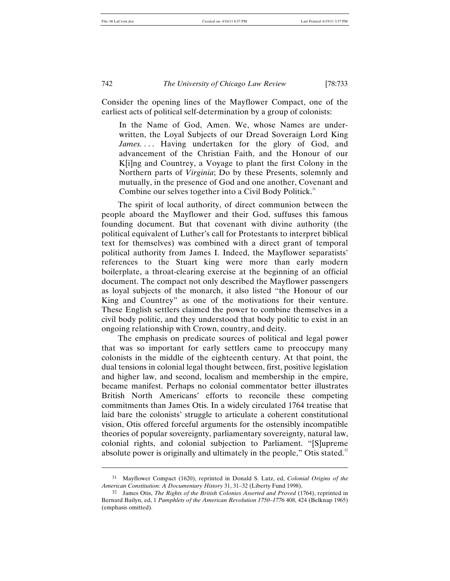$\overline{a}$ 

# 742 *The University of Chicago Law Review* [78:733

Consider the opening lines of the Mayflower Compact, one of the earliest acts of political self-determination by a group of colonists:

In the Name of God, Amen. We, whose Names are underwritten, the Loyal Subjects of our Dread Soveraign Lord King *James...* Having undertaken for the glory of God, and advancement of the Christian Faith, and the Honour of our K[i]ng and Countrey, a Voyage to plant the first Colony in the Northern parts of *Virginia*; Do by these Presents, solemnly and mutually, in the presence of God and one another, Covenant and Combine our selves together into a Civil Body Politick.<sup>31</sup>

The spirit of local authority, of direct communion between the people aboard the Mayflower and their God, suffuses this famous founding document. But that covenant with divine authority (the political equivalent of Luther's call for Protestants to interpret biblical text for themselves) was combined with a direct grant of temporal political authority from James I. Indeed, the Mayflower separatists' references to the Stuart king were more than early modern boilerplate, a throat-clearing exercise at the beginning of an official document. The compact not only described the Mayflower passengers as loyal subjects of the monarch, it also listed "the Honour of our King and Countrey" as one of the motivations for their venture. These English settlers claimed the power to combine themselves in a civil body politic, and they understood that body politic to exist in an ongoing relationship with Crown, country, and deity.

The emphasis on predicate sources of political and legal power that was so important for early settlers came to preoccupy many colonists in the middle of the eighteenth century. At that point, the dual tensions in colonial legal thought between, first, positive legislation and higher law, and second, localism and membership in the empire, became manifest. Perhaps no colonial commentator better illustrates British North Americans' efforts to reconcile these competing commitments than James Otis. In a widely circulated 1764 treatise that laid bare the colonists' struggle to articulate a coherent constitutional vision, Otis offered forceful arguments for the ostensibly incompatible theories of popular sovereignty, parliamentary sovereignty, natural law, colonial rights, and colonial subjection to Parliament. "[S]upreme absolute power is originally and ultimately in the people," Otis stated.<sup>32</sup>

<sup>31</sup> Mayflower Compact (1620), reprinted in Donald S. Lutz, ed, *Colonial Origins of the American Constitution: A Documentary History* 31, 31–32 (Liberty Fund 1998).

<sup>32</sup> James Otis, *The Rights of the British Colonies Asserted and Proved* (1764), reprinted in Bernard Bailyn, ed, 1 *Pamphlets of the American Revolution 1750–1776* 408, 424 (Belknap 1965) (emphasis omitted).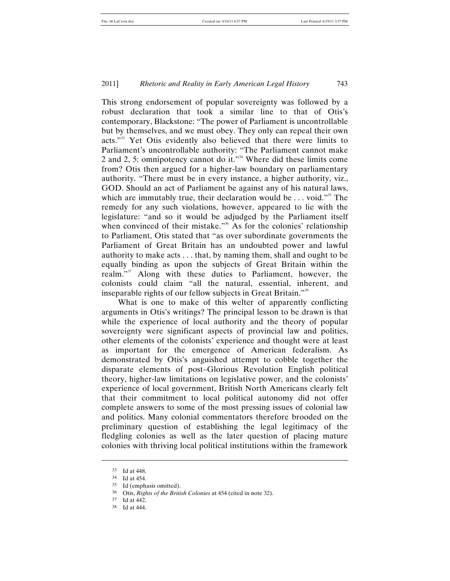This strong endorsement of popular sovereignty was followed by a robust declaration that took a similar line to that of Otis's contemporary, Blackstone: "The power of Parliament is uncontrollable but by themselves, and we must obey. They only can repeal their own acts."33 Yet Otis evidently also believed that there were limits to Parliament's uncontrollable authority: "The Parliament cannot make 2 and 2, 5: omnipotency cannot do it."34 Where did these limits come from? Otis then argued for a higher-law boundary on parliamentary authority. "There must be in every instance, a higher authority, viz., GOD. Should an act of Parliament be against any of his natural laws, which are immutably true, their declaration would be  $\dots$  void."<sup>35</sup> The remedy for any such violations, however, appeared to lie with the legislature: "and so it would be adjudged by the Parliament itself when convinced of their mistake."<sup>36</sup> As for the colonies' relationship to Parliament, Otis stated that "as over subordinate governments the Parliament of Great Britain has an undoubted power and lawful authority to make acts . . . that, by naming them, shall and ought to be equally binding as upon the subjects of Great Britain within the realm."37 Along with these duties to Parliament, however, the colonists could claim "all the natural, essential, inherent, and inseparable rights of our fellow subjects in Great Britain."<sup>38</sup>

What is one to make of this welter of apparently conflicting arguments in Otis's writings? The principal lesson to be drawn is that while the experience of local authority and the theory of popular sovereignty were significant aspects of provincial law and politics, other elements of the colonists' experience and thought were at least as important for the emergence of American federalism. As demonstrated by Otis's anguished attempt to cobble together the disparate elements of post–Glorious Revolution English political theory, higher-law limitations on legislative power, and the colonists' experience of local government, British North Americans clearly felt that their commitment to local political autonomy did not offer complete answers to some of the most pressing issues of colonial law and politics. Many colonial commentators therefore brooded on the preliminary question of establishing the legal legitimacy of the fledgling colonies as well as the later question of placing mature colonies with thriving local political institutions within the framework

<sup>33</sup> Id at 448.

<sup>34</sup> Id at 454.

<sup>35</sup> Id (emphasis omitted).

<sup>36</sup> Otis, *Rights of the British Colonies* at 454 (cited in note 32).

<sup>37</sup> Id at 442.

<sup>38</sup> Id at 444.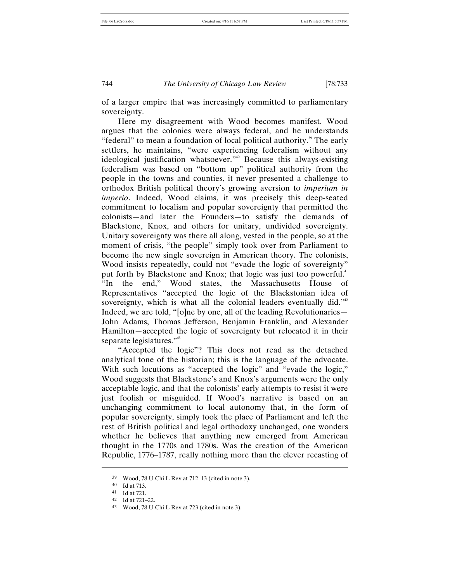of a larger empire that was increasingly committed to parliamentary sovereignty.

Here my disagreement with Wood becomes manifest. Wood argues that the colonies were always federal, and he understands "federal" to mean a foundation of local political authority.<sup>39</sup> The early settlers, he maintains, "were experiencing federalism without any ideological justification whatsoever."40 Because this always-existing federalism was based on "bottom up" political authority from the people in the towns and counties, it never presented a challenge to orthodox British political theory's growing aversion to *imperium in imperio*. Indeed, Wood claims, it was precisely this deep-seated commitment to localism and popular sovereignty that permitted the colonists—and later the Founders—to satisfy the demands of Blackstone, Knox, and others for unitary, undivided sovereignty. Unitary sovereignty was there all along, vested in the people, so at the moment of crisis, "the people" simply took over from Parliament to become the new single sovereign in American theory. The colonists, Wood insists repeatedly, could not "evade the logic of sovereignty" put forth by Blackstone and Knox; that logic was just too powerful.<sup>41</sup> "In the end," Wood states, the Massachusetts House of Representatives "accepted the logic of the Blackstonian idea of sovereignty, which is what all the colonial leaders eventually did."<sup>42</sup> Indeed, we are told, "[o]ne by one, all of the leading Revolutionaries— John Adams, Thomas Jefferson, Benjamin Franklin, and Alexander Hamilton—accepted the logic of sovereignty but relocated it in their separate legislatures."<sup>43</sup>

"Accepted the logic"? This does not read as the detached analytical tone of the historian; this is the language of the advocate. With such locutions as "accepted the logic" and "evade the logic," Wood suggests that Blackstone's and Knox's arguments were the only acceptable logic, and that the colonists' early attempts to resist it were just foolish or misguided. If Wood's narrative is based on an unchanging commitment to local autonomy that, in the form of popular sovereignty, simply took the place of Parliament and left the rest of British political and legal orthodoxy unchanged, one wonders whether he believes that anything new emerged from American thought in the 1770s and 1780s. Was the creation of the American Republic, 1776–1787, really nothing more than the clever recasting of

<sup>39</sup> Wood, 78 U Chi L Rev at 712–13 (cited in note 3).

<sup>40</sup> Id at 713.

<sup>41</sup> Id at 721.

<sup>42</sup> Id at 721–22.

<sup>43</sup> Wood, 78 U Chi L Rev at 723 (cited in note 3).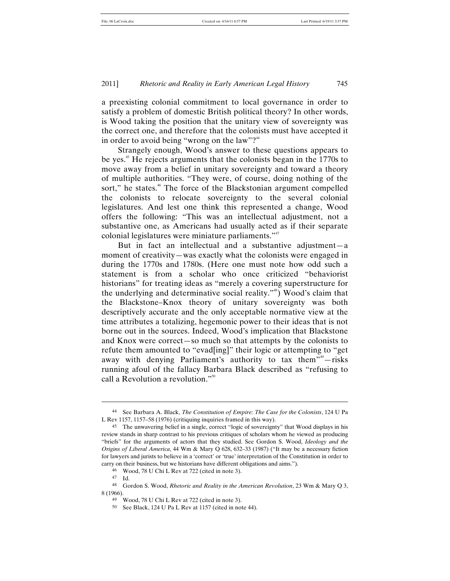a preexisting colonial commitment to local governance in order to satisfy a problem of domestic British political theory? In other words, is Wood taking the position that the unitary view of sovereignty was the correct one, and therefore that the colonists must have accepted it in order to avoid being "wrong on the law"? $44$ 

Strangely enough, Wood's answer to these questions appears to be yes.45 He rejects arguments that the colonists began in the 1770s to move away from a belief in unitary sovereignty and toward a theory of multiple authorities. "They were, of course, doing nothing of the sort," he states.<sup>46</sup> The force of the Blackstonian argument compelled the colonists to relocate sovereignty to the several colonial legislatures. And lest one think this represented a change, Wood offers the following: "This was an intellectual adjustment, not a substantive one, as Americans had usually acted as if their separate colonial legislatures were miniature parliaments." $47$ 

But in fact an intellectual and a substantive adjustment—a moment of creativity—was exactly what the colonists were engaged in during the 1770s and 1780s. (Here one must note how odd such a statement is from a scholar who once criticized "behaviorist historians" for treating ideas as "merely a covering superstructure for the underlying and determinative social reality."48) Wood's claim that the Blackstone–Knox theory of unitary sovereignty was both descriptively accurate and the only acceptable normative view at the time attributes a totalizing, hegemonic power to their ideas that is not borne out in the sources. Indeed, Wood's implication that Blackstone and Knox were correct—so much so that attempts by the colonists to refute them amounted to "evad[ing]" their logic or attempting to "get away with denying Parliament's authority to tax them"<sup>49</sup>-risks running afoul of the fallacy Barbara Black described as "refusing to call a Revolution a revolution."<sup>50</sup>

<sup>44</sup> See Barbara A. Black, *The Constitution of Empire: The Case for the Colonists*, 124 U Pa L Rev 1157, 1157–58 (1976) (critiquing inquiries framed in this way).

<sup>45</sup> The unwavering belief in a single, correct "logic of sovereignty" that Wood displays in his review stands in sharp contrast to his previous critiques of scholars whom he viewed as producing "briefs" for the arguments of actors that they studied. See Gordon S. Wood, *Ideology and the Origins of Liberal America*, 44 Wm & Mary Q 628, 632–33 (1987) ("It may be a necessary fiction for lawyers and jurists to believe in a 'correct' or 'true' interpretation of the Constitution in order to carry on their business, but we historians have different obligations and aims.").

<sup>46</sup> Wood, 78 U Chi L Rev at 722 (cited in note 3).

<sup>47</sup> Id.

<sup>48</sup> Gordon S. Wood, *Rhetoric and Reality in the American Revolution*, 23 Wm & Mary Q 3, 8 (1966).

<sup>49</sup> Wood, 78 U Chi L Rev at 722 (cited in note 3).

<sup>50</sup> See Black, 124 U Pa L Rev at 1157 (cited in note 44).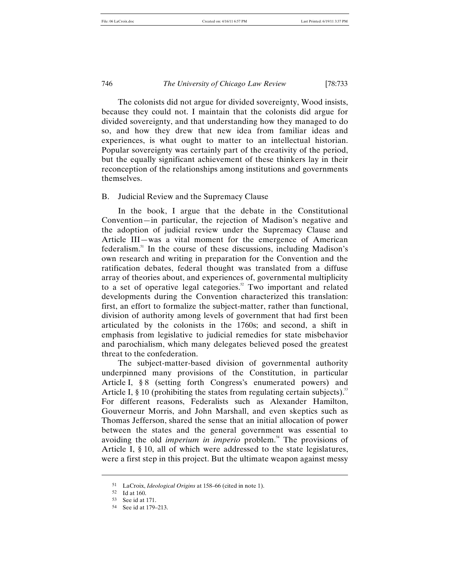The colonists did not argue for divided sovereignty, Wood insists, because they could not. I maintain that the colonists did argue for divided sovereignty, and that understanding how they managed to do so, and how they drew that new idea from familiar ideas and experiences, is what ought to matter to an intellectual historian. Popular sovereignty was certainly part of the creativity of the period, but the equally significant achievement of these thinkers lay in their reconception of the relationships among institutions and governments themselves.

## B. Judicial Review and the Supremacy Clause

In the book, I argue that the debate in the Constitutional Convention—in particular, the rejection of Madison's negative and the adoption of judicial review under the Supremacy Clause and Article III—was a vital moment for the emergence of American federalism.51 In the course of these discussions, including Madison's own research and writing in preparation for the Convention and the ratification debates, federal thought was translated from a diffuse array of theories about, and experiences of, governmental multiplicity to a set of operative legal categories.<sup>52</sup> Two important and related developments during the Convention characterized this translation: first, an effort to formalize the subject-matter, rather than functional, division of authority among levels of government that had first been articulated by the colonists in the 1760s; and second, a shift in emphasis from legislative to judicial remedies for state misbehavior and parochialism, which many delegates believed posed the greatest threat to the confederation.

The subject-matter-based division of governmental authority underpinned many provisions of the Constitution, in particular Article I, § 8 (setting forth Congress's enumerated powers) and Article I,  $\S 10$  (prohibiting the states from regulating certain subjects).<sup>53</sup> For different reasons, Federalists such as Alexander Hamilton, Gouverneur Morris, and John Marshall, and even skeptics such as Thomas Jefferson, shared the sense that an initial allocation of power between the states and the general government was essential to avoiding the old *imperium in imperio* problem.<sup>54</sup> The provisions of Article I, § 10, all of which were addressed to the state legislatures, were a first step in this project. But the ultimate weapon against messy

<sup>51</sup> LaCroix, *Ideological Origins* at 158–66 (cited in note 1).

<sup>52</sup> Id at 160.

<sup>53</sup> See id at 171.

<sup>54</sup> See id at 179–213.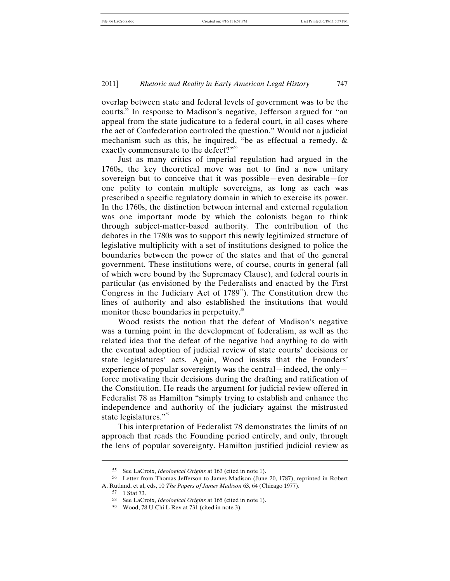overlap between state and federal levels of government was to be the courts.55 In response to Madison's negative, Jefferson argued for "an appeal from the state judicature to a federal court, in all cases where the act of Confederation controled the question." Would not a judicial mechanism such as this, he inquired, "be as effectual a remedy, & exactly commensurate to the defect?"<sup>56</sup>

Just as many critics of imperial regulation had argued in the 1760s, the key theoretical move was not to find a new unitary sovereign but to conceive that it was possible—even desirable—for one polity to contain multiple sovereigns, as long as each was prescribed a specific regulatory domain in which to exercise its power. In the 1760s, the distinction between internal and external regulation was one important mode by which the colonists began to think through subject-matter-based authority. The contribution of the debates in the 1780s was to support this newly legitimized structure of legislative multiplicity with a set of institutions designed to police the boundaries between the power of the states and that of the general government. These institutions were, of course, courts in general (all of which were bound by the Supremacy Clause), and federal courts in particular (as envisioned by the Federalists and enacted by the First Congress in the Judiciary Act of  $1789^{\circ}$ ). The Constitution drew the lines of authority and also established the institutions that would monitor these boundaries in perpetuity.<sup>58</sup>

Wood resists the notion that the defeat of Madison's negative was a turning point in the development of federalism, as well as the related idea that the defeat of the negative had anything to do with the eventual adoption of judicial review of state courts' decisions or state legislatures' acts. Again, Wood insists that the Founders' experience of popular sovereignty was the central—indeed, the only force motivating their decisions during the drafting and ratification of the Constitution. He reads the argument for judicial review offered in Federalist 78 as Hamilton "simply trying to establish and enhance the independence and authority of the judiciary against the mistrusted state legislatures."<sup>59</sup>

This interpretation of Federalist 78 demonstrates the limits of an approach that reads the Founding period entirely, and only, through the lens of popular sovereignty. Hamilton justified judicial review as

<sup>55</sup> See LaCroix, *Ideological Origins* at 163 (cited in note 1).

<sup>56</sup> Letter from Thomas Jefferson to James Madison (June 20, 1787), reprinted in Robert A. Rutland, et al, eds, 10 *The Papers of James Madison* 63, 64 (Chicago 1977).

<sup>57</sup> 1 Stat 73.

<sup>58</sup> See LaCroix, *Ideological Origins* at 165 (cited in note 1).

<sup>59</sup> Wood, 78 U Chi L Rev at 731 (cited in note 3).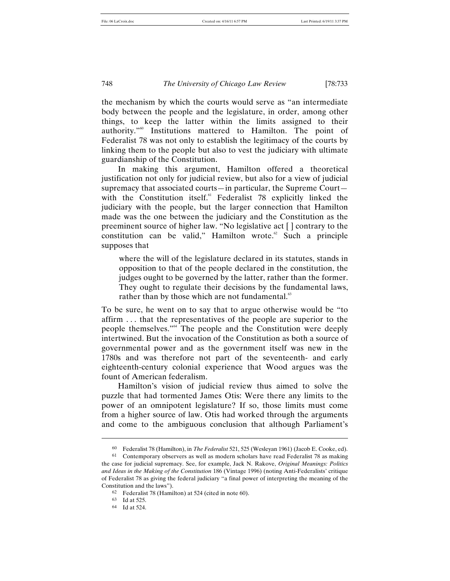the mechanism by which the courts would serve as "an intermediate body between the people and the legislature, in order, among other things, to keep the latter within the limits assigned to their authority."60 Institutions mattered to Hamilton. The point of Federalist 78 was not only to establish the legitimacy of the courts by linking them to the people but also to vest the judiciary with ultimate guardianship of the Constitution.

In making this argument, Hamilton offered a theoretical justification not only for judicial review, but also for a view of judicial supremacy that associated courts—in particular, the Supreme Court with the Constitution itself.<sup>61</sup> Federalist 78 explicitly linked the judiciary with the people, but the larger connection that Hamilton made was the one between the judiciary and the Constitution as the preeminent source of higher law. "No legislative act [ ] contrary to the constitution can be valid," Hamilton wrote. $\mathscr{C}$  Such a principle supposes that

where the will of the legislature declared in its statutes, stands in opposition to that of the people declared in the constitution, the judges ought to be governed by the latter, rather than the former. They ought to regulate their decisions by the fundamental laws, rather than by those which are not fundamental. $63$ 

To be sure, he went on to say that to argue otherwise would be "to affirm . . . that the representatives of the people are superior to the people themselves."64 The people and the Constitution were deeply intertwined. But the invocation of the Constitution as both a source of governmental power and as the government itself was new in the 1780s and was therefore not part of the seventeenth- and early eighteenth-century colonial experience that Wood argues was the fount of American federalism.

Hamilton's vision of judicial review thus aimed to solve the puzzle that had tormented James Otis: Were there any limits to the power of an omnipotent legislature? If so, those limits must come from a higher source of law. Otis had worked through the arguments and come to the ambiguous conclusion that although Parliament's

63 Id at 525.

<sup>60</sup> Federalist 78 (Hamilton), in *The Federalist* 521, 525 (Wesleyan 1961) (Jacob E. Cooke, ed).

<sup>61</sup> Contemporary observers as well as modern scholars have read Federalist 78 as making the case for judicial supremacy. See, for example, Jack N. Rakove, *Original Meanings: Politics and Ideas in the Making of the Constitution* 186 (Vintage 1996) (noting Anti-Federalists' critique of Federalist 78 as giving the federal judiciary "a final power of interpreting the meaning of the Constitution and the laws").

<sup>62</sup> Federalist 78 (Hamilton) at 524 (cited in note 60).

<sup>64</sup> Id at 524.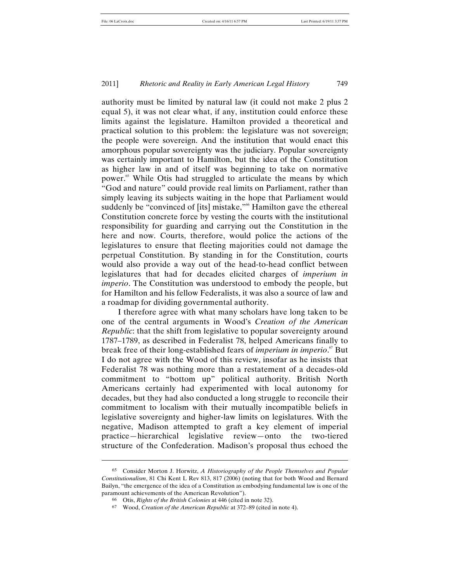authority must be limited by natural law (it could not make 2 plus 2 equal 5), it was not clear what, if any, institution could enforce these limits against the legislature. Hamilton provided a theoretical and practical solution to this problem: the legislature was not sovereign; the people were sovereign. And the institution that would enact this amorphous popular sovereignty was the judiciary. Popular sovereignty was certainly important to Hamilton, but the idea of the Constitution as higher law in and of itself was beginning to take on normative power.65 While Otis had struggled to articulate the means by which "God and nature" could provide real limits on Parliament, rather than simply leaving its subjects waiting in the hope that Parliament would suddenly be "convinced of [its] mistake,"<sup>66</sup> Hamilton gave the ethereal Constitution concrete force by vesting the courts with the institutional responsibility for guarding and carrying out the Constitution in the here and now. Courts, therefore, would police the actions of the legislatures to ensure that fleeting majorities could not damage the perpetual Constitution. By standing in for the Constitution, courts would also provide a way out of the head-to-head conflict between legislatures that had for decades elicited charges of *imperium in imperio*. The Constitution was understood to embody the people, but for Hamilton and his fellow Federalists, it was also a source of law and a roadmap for dividing governmental authority.

I therefore agree with what many scholars have long taken to be one of the central arguments in Wood's *Creation of the American Republic*: that the shift from legislative to popular sovereignty around 1787–1789, as described in Federalist 78, helped Americans finally to break free of their long-established fears of *imperium in imperio*. <sup>67</sup> But I do not agree with the Wood of this review, insofar as he insists that Federalist 78 was nothing more than a restatement of a decades-old commitment to "bottom up" political authority. British North Americans certainly had experimented with local autonomy for decades, but they had also conducted a long struggle to reconcile their commitment to localism with their mutually incompatible beliefs in legislative sovereignty and higher-law limits on legislatures. With the negative, Madison attempted to graft a key element of imperial practice—hierarchical legislative review—onto the two-tiered structure of the Confederation. Madison's proposal thus echoed the

<sup>65</sup> Consider Morton J. Horwitz, *A Historiography of the People Themselves and Popular Constitutionalism*, 81 Chi Kent L Rev 813, 817 (2006) (noting that for both Wood and Bernard Bailyn, "the emergence of the idea of a Constitution as embodying fundamental law is one of the paramount achievements of the American Revolution").

<sup>66</sup> Otis, *Rights of the British Colonies* at 446 (cited in note 32).

<sup>67</sup> Wood, *Creation of the American Republic* at 372–89 (cited in note 4).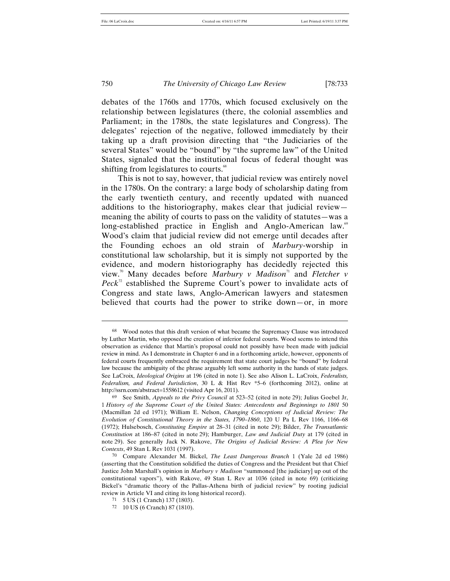debates of the 1760s and 1770s, which focused exclusively on the relationship between legislatures (there, the colonial assemblies and Parliament; in the 1780s, the state legislatures and Congress). The delegates' rejection of the negative, followed immediately by their taking up a draft provision directing that "the Judiciaries of the several States" would be "bound" by "the supreme law" of the United States, signaled that the institutional focus of federal thought was shifting from legislatures to courts.<sup>68</sup>

This is not to say, however, that judicial review was entirely novel in the 1780s. On the contrary: a large body of scholarship dating from the early twentieth century, and recently updated with nuanced additions to the historiography, makes clear that judicial review meaning the ability of courts to pass on the validity of statutes—was a long-established practice in English and Anglo-American law.<sup>69</sup> Wood's claim that judicial review did not emerge until decades after the Founding echoes an old strain of *Marbury*-worship in constitutional law scholarship, but it is simply not supported by the evidence, and modern historiography has decidedly rejected this view.<sup>70</sup> Many decades before *Marbury v Madison*<sup>11</sup> and *Fletcher v*  $Peck<sup>2</sup>$  established the Supreme Court's power to invalidate acts of Congress and state laws, Anglo-American lawyers and statesmen believed that courts had the power to strike down—or, in more

<sup>68</sup> Wood notes that this draft version of what became the Supremacy Clause was introduced by Luther Martin, who opposed the creation of inferior federal courts. Wood seems to intend this observation as evidence that Martin's proposal could not possibly have been made with judicial review in mind. As I demonstrate in Chapter 6 and in a forthcoming article, however, opponents of federal courts frequently embraced the requirement that state court judges be "bound" by federal law because the ambiguity of the phrase arguably left some authority in the hands of state judges. See LaCroix, *Ideological Origins* at 196 (cited in note 1). See also Alison L. LaCroix, *Federalists, Federalism, and Federal Jurisdiction*, 30 L & Hist Rev \*5–6 (forthcoming 2012), online at http://ssrn.com/abstract=1558612 (visited Apr 16, 2011).

<sup>69</sup> See Smith, *Appeals to the Privy Council* at 523–52 (cited in note 29); Julius Goebel Jr, 1 *History of the Supreme Court of the United States: Antecedents and Beginnings to 1801* 50 (Macmillan 2d ed 1971); William E. Nelson, *Changing Conceptions of Judicial Review: The Evolution of Constitutional Theory in the States, 1790–1860*, 120 U Pa L Rev 1166, 1166–68 (1972); Hulsebosch, *Constituting Empire* at 28–31 (cited in note 29); Bilder, *The Transatlantic Constitution* at 186–87 (cited in note 29); Hamburger, *Law and Judicial Duty* at 179 (cited in note 29). See generally Jack N. Rakove, *The Origins of Judicial Review: A Plea for New Contexts*, 49 Stan L Rev 1031 (1997).

<sup>70</sup> Compare Alexander M. Bickel, *The Least Dangerous Branch* 1 (Yale 2d ed 1986) (asserting that the Constitution solidified the duties of Congress and the President but that Chief Justice John Marshall's opinion in *Marbury v Madison* "summoned [the judiciary] up out of the constitutional vapors"), with Rakove, 49 Stan L Rev at 1036 (cited in note 69) (criticizing Bickel's "dramatic theory of the Pallas-Athena birth of judicial review" by rooting judicial review in Article VI and citing its long historical record).

<sup>71</sup> 5 US (1 Cranch) 137 (1803).

<sup>72</sup> 10 US (6 Cranch) 87 (1810).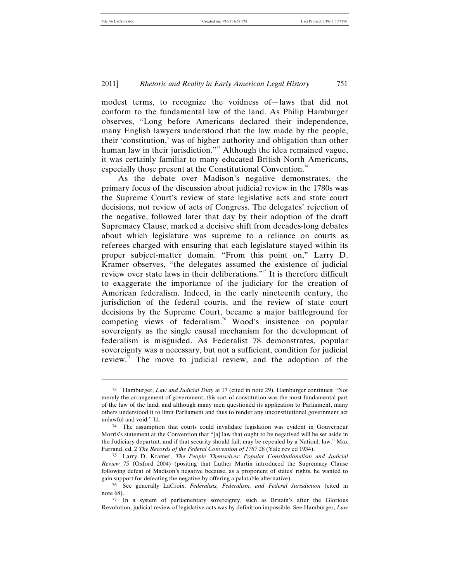$\overline{a}$ 

#### 2011] *Rhetoric and Reality in Early American Legal History* 751

modest terms, to recognize the voidness of—laws that did not conform to the fundamental law of the land. As Philip Hamburger observes, "Long before Americans declared their independence, many English lawyers understood that the law made by the people, their 'constitution,' was of higher authority and obligation than other human law in their jurisdiction."<sup>3</sup> Although the idea remained vague, it was certainly familiar to many educated British North Americans, especially those present at the Constitutional Convention.<sup>74</sup>

As the debate over Madison's negative demonstrates, the primary focus of the discussion about judicial review in the 1780s was the Supreme Court's review of state legislative acts and state court decisions, not review of acts of Congress. The delegates' rejection of the negative, followed later that day by their adoption of the draft Supremacy Clause, marked a decisive shift from decades-long debates about which legislature was supreme to a reliance on courts as referees charged with ensuring that each legislature stayed within its proper subject-matter domain. "From this point on," Larry D. Kramer observes, "the delegates assumed the existence of judicial review over state laws in their deliberations."<sup>5</sup> It is therefore difficult to exaggerate the importance of the judiciary for the creation of American federalism. Indeed, in the early nineteenth century, the jurisdiction of the federal courts, and the review of state court decisions by the Supreme Court, became a major battleground for competing views of federalism.<sup>76</sup> Wood's insistence on popular sovereignty as the single causal mechanism for the development of federalism is misguided. As Federalist 78 demonstrates, popular sovereignty was a necessary, but not a sufficient, condition for judicial review. $\pi$  The move to judicial review, and the adoption of the

<sup>73</sup> Hamburger, *Law and Judicial Duty* at 17 (cited in note 29). Hamburger continues: "Not merely the arrangement of government, this sort of constitution was the most fundamental part of the law of the land, and although many men questioned its application to Parliament, many others understood it to limit Parliament and thus to render any unconstitutional government act unlawful and void." Id.

<sup>74</sup> The assumption that courts could invalidate legislation was evident in Gouverneur Morris's statement at the Convention that "[a] law that ought to be negatived will be set aside in the Judiciary departmt. and if that security should fail; may be repealed by a Nationl. law." Max Farrand, ed, 2 *The Records of the Federal Convention of 1787* 28 (Yale rev ed 1934).

<sup>75</sup> Larry D. Kramer, *The People Themselves: Popular Constitutionalism and Judicial Review* 75 (Oxford 2004) (positing that Luther Martin introduced the Supremacy Clause following defeat of Madison's negative because, as a proponent of states' rights, he wanted to gain support for defeating the negative by offering a palatable alternative).

<sup>76</sup> See generally LaCroix, *Federalists, Federalism, and Federal Jurisdiction* (cited in note 68).

<sup>77</sup> In a system of parliamentary sovereignty, such as Britain's after the Glorious Revolution, judicial review of legislative acts was by definition impossible. See Hamburger, *Law*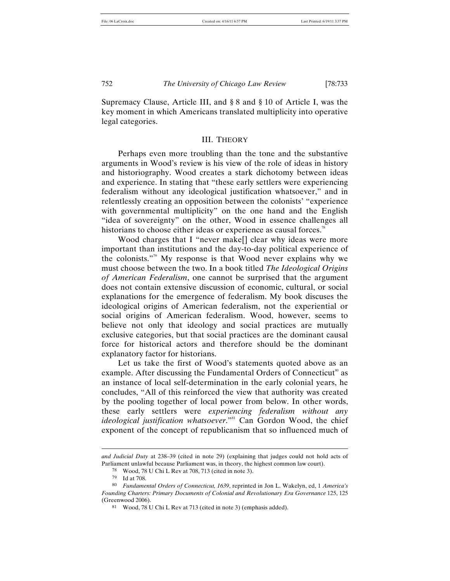Supremacy Clause, Article III, and § 8 and § 10 of Article I, was the key moment in which Americans translated multiplicity into operative legal categories.

# III. THEORY

Perhaps even more troubling than the tone and the substantive arguments in Wood's review is his view of the role of ideas in history and historiography. Wood creates a stark dichotomy between ideas and experience. In stating that "these early settlers were experiencing federalism without any ideological justification whatsoever," and in relentlessly creating an opposition between the colonists' "experience with governmental multiplicity" on the one hand and the English "idea of sovereignty" on the other, Wood in essence challenges all historians to choose either ideas or experience as causal forces.<sup>78</sup>

Wood charges that I "never make[] clear why ideas were more important than institutions and the day-to-day political experience of the colonists."<sup>39</sup> My response is that Wood never explains why we must choose between the two. In a book titled *The Ideological Origins of American Federalism*, one cannot be surprised that the argument does not contain extensive discussion of economic, cultural, or social explanations for the emergence of federalism. My book discuses the ideological origins of American federalism, not the experiential or social origins of American federalism. Wood, however, seems to believe not only that ideology and social practices are mutually exclusive categories, but that social practices are the dominant causal force for historical actors and therefore should be the dominant explanatory factor for historians.

Let us take the first of Wood's statements quoted above as an example. After discussing the Fundamental Orders of Connecticut<sup>80</sup> as an instance of local self-determination in the early colonial years, he concludes, "All of this reinforced the view that authority was created by the pooling together of local power from below. In other words, these early settlers were *experiencing federalism without any ideological justification whatsoever.*"<sup>81</sup> Can Gordon Wood, the chief exponent of the concept of republicanism that so influenced much of

*and Judicial Duty* at 238–39 (cited in note 29) (explaining that judges could not hold acts of Parliament unlawful because Parliament was, in theory, the highest common law court).

<sup>78</sup> Wood, 78 U Chi L Rev at 708, 713 (cited in note 3).

<sup>79</sup> Id at 708.

<sup>80</sup> *Fundamental Orders of Connecticut, 1639*, reprinted in Jon L. Wakelyn, ed, 1 *America's Founding Charters: Primary Documents of Colonial and Revolutionary Era Governance* 125, 125 (Greenwood 2006).

<sup>81</sup> Wood, 78 U Chi L Rev at 713 (cited in note 3) (emphasis added).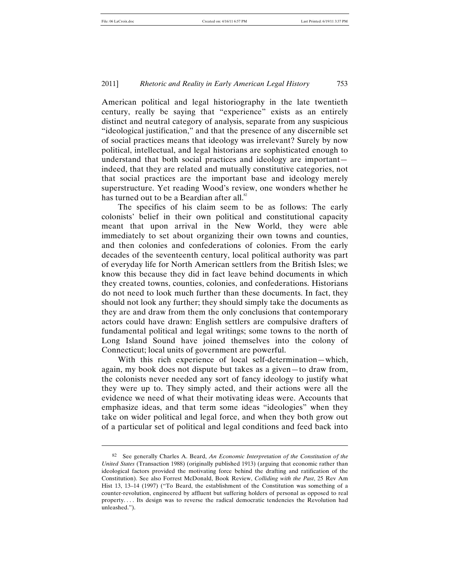$\overline{a}$ 

## 2011] *Rhetoric and Reality in Early American Legal History* 753

American political and legal historiography in the late twentieth century, really be saying that "experience" exists as an entirely distinct and neutral category of analysis, separate from any suspicious "ideological justification," and that the presence of any discernible set of social practices means that ideology was irrelevant? Surely by now political, intellectual, and legal historians are sophisticated enough to understand that both social practices and ideology are important indeed, that they are related and mutually constitutive categories, not that social practices are the important base and ideology merely superstructure. Yet reading Wood's review, one wonders whether he has turned out to be a Beardian after all.<sup>82</sup>

The specifics of his claim seem to be as follows: The early colonists' belief in their own political and constitutional capacity meant that upon arrival in the New World, they were able immediately to set about organizing their own towns and counties, and then colonies and confederations of colonies. From the early decades of the seventeenth century, local political authority was part of everyday life for North American settlers from the British Isles; we know this because they did in fact leave behind documents in which they created towns, counties, colonies, and confederations. Historians do not need to look much further than these documents. In fact, they should not look any further; they should simply take the documents as they are and draw from them the only conclusions that contemporary actors could have drawn: English settlers are compulsive drafters of fundamental political and legal writings; some towns to the north of Long Island Sound have joined themselves into the colony of Connecticut; local units of government are powerful.

With this rich experience of local self-determination—which, again, my book does not dispute but takes as a given—to draw from, the colonists never needed any sort of fancy ideology to justify what they were up to. They simply acted, and their actions were all the evidence we need of what their motivating ideas were. Accounts that emphasize ideas, and that term some ideas "ideologies" when they take on wider political and legal force, and when they both grow out of a particular set of political and legal conditions and feed back into

<sup>82</sup> See generally Charles A. Beard, *An Economic Interpretation of the Constitution of the United States* (Transaction 1988) (originally published 1913) (arguing that economic rather than ideological factors provided the motivating force behind the drafting and ratification of the Constitution). See also Forrest McDonald, Book Review, *Colliding with the Past*, 25 Rev Am Hist 13, 13–14 (1997) ("To Beard, the establishment of the Constitution was something of a counter-revolution, engineered by affluent but suffering holders of personal as opposed to real property. . . . Its design was to reverse the radical democratic tendencies the Revolution had unleashed.").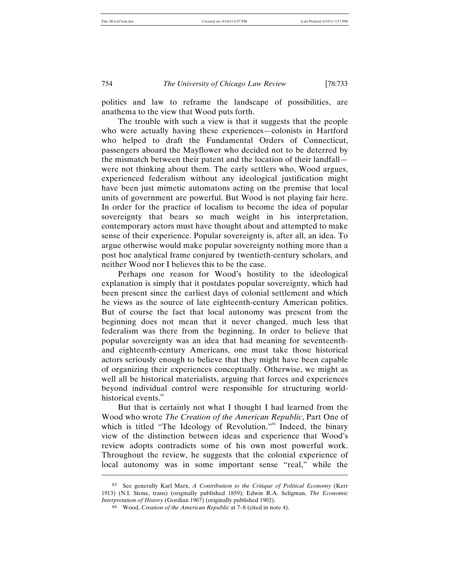politics and law to reframe the landscape of possibilities, are anathema to the view that Wood puts forth.

The trouble with such a view is that it suggests that the people who were actually having these experiences—colonists in Hartford who helped to draft the Fundamental Orders of Connecticut, passengers aboard the Mayflower who decided not to be deterred by the mismatch between their patent and the location of their landfall were not thinking about them. The early settlers who, Wood argues, experienced federalism without any ideological justification might have been just mimetic automatons acting on the premise that local units of government are powerful. But Wood is not playing fair here. In order for the practice of localism to become the idea of popular sovereignty that bears so much weight in his interpretation, contemporary actors must have thought about and attempted to make sense of their experience. Popular sovereignty is, after all, an idea. To argue otherwise would make popular sovereignty nothing more than a post hoc analytical frame conjured by twentieth-century scholars, and neither Wood nor I believes this to be the case.

Perhaps one reason for Wood's hostility to the ideological explanation is simply that it postdates popular sovereignty, which had been present since the earliest days of colonial settlement and which he views as the source of late eighteenth-century American politics. But of course the fact that local autonomy was present from the beginning does not mean that it never changed, much less that federalism was there from the beginning. In order to believe that popular sovereignty was an idea that had meaning for seventeenthand eighteenth-century Americans, one must take those historical actors seriously enough to believe that they might have been capable of organizing their experiences conceptually. Otherwise, we might as well all be historical materialists, arguing that forces and experiences beyond individual control were responsible for structuring worldhistorical events.<sup>83</sup>

But that is certainly not what I thought I had learned from the Wood who wrote *The Creation of the American Republic*, Part One of which is titled "The Ideology of Revolution."<sup>84</sup> Indeed, the binary view of the distinction between ideas and experience that Wood's review adopts contradicts some of his own most powerful work. Throughout the review, he suggests that the colonial experience of local autonomy was in some important sense "real," while the

<sup>83</sup> See generally Karl Marx, *A Contribution to the Critique of Political Economy* (Kerr 1913) (N.I. Stone, trans) (originally published 1859); Edwin R.A. Seligman, *The Economic Interpretation of History* (Gordian 1967) (originally published 1902).

<sup>84</sup> Wood, *Creation of the American Republic* at 7–8 (cited in note 4).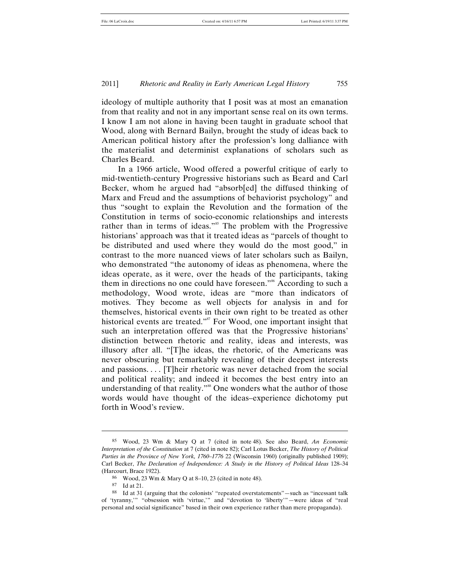ideology of multiple authority that I posit was at most an emanation from that reality and not in any important sense real on its own terms. I know I am not alone in having been taught in graduate school that Wood, along with Bernard Bailyn, brought the study of ideas back to American political history after the profession's long dalliance with the materialist and determinist explanations of scholars such as Charles Beard.

In a 1966 article, Wood offered a powerful critique of early to mid-twentieth-century Progressive historians such as Beard and Carl Becker, whom he argued had "absorb[ed] the diffused thinking of Marx and Freud and the assumptions of behaviorist psychology" and thus "sought to explain the Revolution and the formation of the Constitution in terms of socio-economic relationships and interests rather than in terms of ideas."<sup>85</sup> The problem with the Progressive historians' approach was that it treated ideas as "parcels of thought to be distributed and used where they would do the most good," in contrast to the more nuanced views of later scholars such as Bailyn, who demonstrated "the autonomy of ideas as phenomena, where the ideas operate, as it were, over the heads of the participants, taking them in directions no one could have foreseen."<sup>86</sup> According to such a methodology, Wood wrote, ideas are "more than indicators of motives. They become as well objects for analysis in and for themselves, historical events in their own right to be treated as other historical events are treated."<sup>87</sup> For Wood, one important insight that such an interpretation offered was that the Progressive historians' distinction between rhetoric and reality, ideas and interests, was illusory after all. "[T]he ideas, the rhetoric, of the Americans was never obscuring but remarkably revealing of their deepest interests and passions. . . . [T]heir rhetoric was never detached from the social and political reality; and indeed it becomes the best entry into an understanding of that reality."<sup>88</sup> One wonders what the author of those words would have thought of the ideas–experience dichotomy put forth in Wood's review.

<sup>85</sup> Wood, 23 Wm & Mary Q at 7 (cited in note 48). See also Beard, *An Economic Interpretation of the Constitution* at 7 (cited in note 82); Carl Lotus Becker, *The History of Political Parties in the Province of New York, 1760–1776* 22 (Wisconsin 1960) (originally published 1909); Carl Becker, *The Declaration of Independence: A Study in the History of Political Ideas* 128–34 (Harcourt, Brace 1922).

<sup>86</sup> Wood, 23 Wm & Mary Q at 8–10, 23 (cited in note 48).

<sup>87</sup> Id at 21.

<sup>88</sup> Id at 31 (arguing that the colonists' "repeated overstatements"—such as "incessant talk of 'tyranny,'" "obsession with 'virtue,'" and "devotion to 'liberty'"—were ideas of "real personal and social significance" based in their own experience rather than mere propaganda).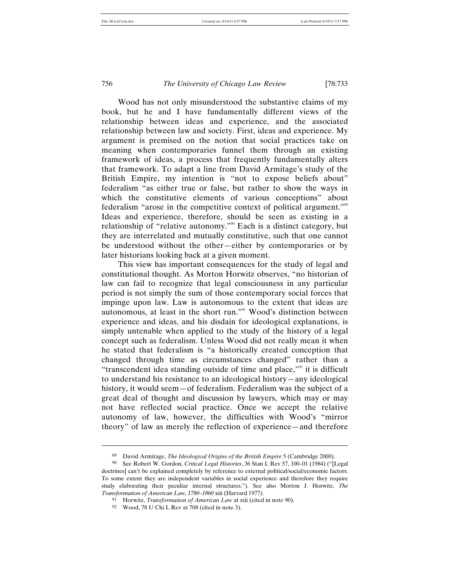Wood has not only misunderstood the substantive claims of my book, but he and I have fundamentally different views of the relationship between ideas and experience, and the associated relationship between law and society. First, ideas and experience. My argument is premised on the notion that social practices take on meaning when contemporaries funnel them through an existing framework of ideas, a process that frequently fundamentally alters that framework. To adapt a line from David Armitage's study of the British Empire, my intention is "not to expose beliefs about" federalism "as either true or false, but rather to show the ways in which the constitutive elements of various conceptions" about federalism "arose in the competitive context of political argument."<sup>89</sup> Ideas and experience, therefore, should be seen as existing in a relationship of "relative autonomy."<sup>90</sup> Each is a distinct category, but they are interrelated and mutually constitutive, such that one cannot be understood without the other—either by contemporaries or by later historians looking back at a given moment.

This view has important consequences for the study of legal and constitutional thought. As Morton Horwitz observes, "no historian of law can fail to recognize that legal consciousness in any particular period is not simply the sum of those contemporary social forces that impinge upon law. Law is autonomous to the extent that ideas are autonomous, at least in the short run."91 Wood's distinction between experience and ideas, and his disdain for ideological explanations, is simply untenable when applied to the study of the history of a legal concept such as federalism. Unless Wood did not really mean it when he stated that federalism is "a historically created conception that changed through time as circumstances changed" rather than a "transcendent idea standing outside of time and place,"92 it is difficult to understand his resistance to an ideological history—any ideological history, it would seem—of federalism. Federalism was the subject of a great deal of thought and discussion by lawyers, which may or may not have reflected social practice. Once we accept the relative autonomy of law, however, the difficulties with Wood's "mirror theory" of law as merely the reflection of experience—and therefore

<sup>89</sup> David Armitage, *The Ideological Origins of the British Empire* 5 (Cambridge 2000).

<sup>90</sup> See Robert W. Gordon, *Critical Legal Histories*, 36 Stan L Rev 57, 100–01 (1984) ("[Legal doctrines] can't be explained completely by reference to external political/social/economic factors. To some extent they are independent variables in social experience and therefore they require study elaborating their peculiar internal structures."). See also Morton J. Horwitz, *The Transformation of American Law, 1780–1860* xiii (Harvard 1977).

<sup>91</sup> Horwitz, *Transformation of American Law* at xiii (cited in note 90).

<sup>92</sup> Wood, 78 U Chi L Rev at 708 (cited in note 3).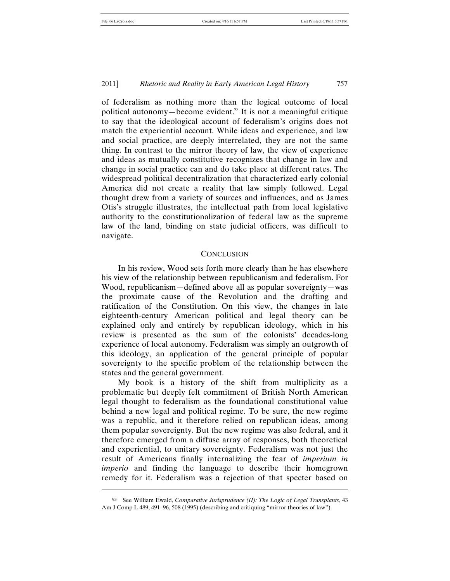$\overline{a}$ 

#### 2011] *Rhetoric and Reality in Early American Legal History* 757

of federalism as nothing more than the logical outcome of local political autonomy—become evident.<sup>93</sup> It is not a meaningful critique to say that the ideological account of federalism's origins does not match the experiential account. While ideas and experience, and law and social practice, are deeply interrelated, they are not the same thing. In contrast to the mirror theory of law, the view of experience and ideas as mutually constitutive recognizes that change in law and change in social practice can and do take place at different rates. The widespread political decentralization that characterized early colonial America did not create a reality that law simply followed. Legal thought drew from a variety of sources and influences, and as James Otis's struggle illustrates, the intellectual path from local legislative authority to the constitutionalization of federal law as the supreme law of the land, binding on state judicial officers, was difficult to navigate.

#### **CONCLUSION**

In his review, Wood sets forth more clearly than he has elsewhere his view of the relationship between republicanism and federalism. For Wood, republicanism—defined above all as popular sovereignty—was the proximate cause of the Revolution and the drafting and ratification of the Constitution. On this view, the changes in late eighteenth-century American political and legal theory can be explained only and entirely by republican ideology, which in his review is presented as the sum of the colonists' decades-long experience of local autonomy. Federalism was simply an outgrowth of this ideology, an application of the general principle of popular sovereignty to the specific problem of the relationship between the states and the general government.

My book is a history of the shift from multiplicity as a problematic but deeply felt commitment of British North American legal thought to federalism as the foundational constitutional value behind a new legal and political regime. To be sure, the new regime was a republic, and it therefore relied on republican ideas, among them popular sovereignty. But the new regime was also federal, and it therefore emerged from a diffuse array of responses, both theoretical and experiential, to unitary sovereignty. Federalism was not just the result of Americans finally internalizing the fear of *imperium in imperio* and finding the language to describe their homegrown remedy for it. Federalism was a rejection of that specter based on

<sup>93</sup> See William Ewald, *Comparative Jurisprudence (II): The Logic of Legal Transplants*, 43 Am J Comp L 489, 491–96, 508 (1995) (describing and critiquing "mirror theories of law").